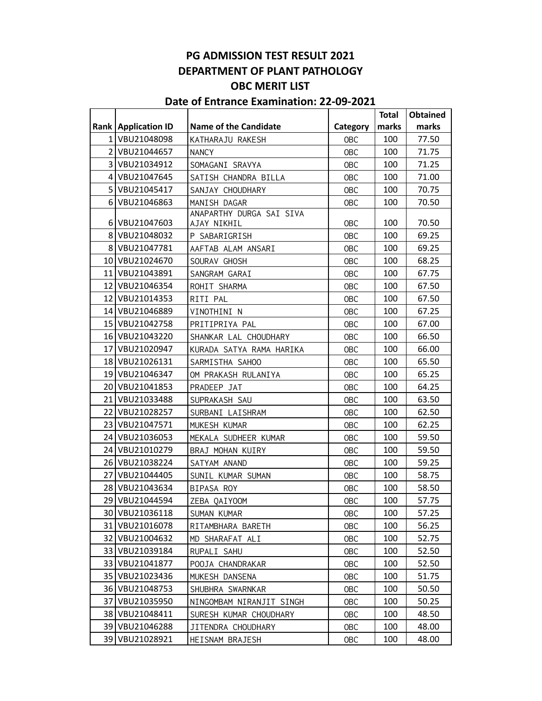## **PG ADMISSION TEST RESULT 2021 DEPARTMENT OF PLANT PATHOLOGY OBC MERIT LIST**

## **Date of Entrance Examination: 22-09-2021**

|      |                              |                              |            | <b>Total</b> | <b>Obtained</b> |
|------|------------------------------|------------------------------|------------|--------------|-----------------|
|      | <b>Rank   Application ID</b> | <b>Name of the Candidate</b> | Category   | marks        | marks           |
|      | 1 VBU21048098                | KATHARAJU RAKESH             | <b>OBC</b> | 100          | 77.50           |
|      | 2 VBU21044657                | <b>NANCY</b>                 | <b>OBC</b> | 100          | 71.75           |
|      | 3 VBU21034912                | SOMAGANI SRAVYA              | <b>OBC</b> | 100          | 71.25           |
|      | 4 VBU21047645                | SATISH CHANDRA BILLA         | <b>OBC</b> | 100          | 71.00           |
|      | 5 VBU21045417                | SANJAY CHOUDHARY             | <b>OBC</b> | 100          | 70.75           |
|      | 6 VBU21046863                | MANISH DAGAR                 | <b>OBC</b> | 100          | 70.50           |
|      |                              | ANAPARTHY DURGA SAI SIVA     |            |              |                 |
|      | 6 VBU21047603                | AJAY NIKHIL                  | OBC        | 100          | 70.50           |
|      | 8 VBU21048032                | P SABARIGRISH                | <b>OBC</b> | 100          | 69.25           |
|      | 8 VBU21047781                | AAFTAB ALAM ANSARI           | <b>OBC</b> | 100          | 69.25           |
|      | 10 VBU21024670               | SOURAV GHOSH                 | OBC        | 100          | 68.25           |
|      | 11 VBU21043891               | SANGRAM GARAI                | <b>OBC</b> | 100          | 67.75           |
|      | 12 VBU21046354               | ROHIT SHARMA                 | <b>OBC</b> | 100          | 67.50           |
|      | 12 VBU21014353               | RITI PAL                     | OBC        | 100          | 67.50           |
|      | 14 VBU21046889               | VINOTHINI N                  | <b>OBC</b> | 100          | 67.25           |
|      | 15 VBU21042758               | PRITIPRIYA PAL               | <b>OBC</b> | 100          | 67.00           |
|      | 16 VBU21043220               | SHANKAR LAL CHOUDHARY        | OBC        | 100          | 66.50           |
|      | 17 VBU21020947               | KURADA SATYA RAMA HARIKA     | <b>OBC</b> | 100          | 66.00           |
|      | 18 VBU21026131               | SARMISTHA SAHOO              | <b>OBC</b> | 100          | 65.50           |
|      | 19 VBU21046347               | OM PRAKASH RULANIYA          | <b>OBC</b> | 100          | 65.25           |
|      | 20 VBU21041853               | PRADEEP JAT                  | OBC        | 100          | 64.25           |
|      | 21 VBU21033488               | SUPRAKASH SAU                | OBC        | 100          | 63.50           |
|      | 22 VBU21028257               | SURBANI LAISHRAM             | OBC        | 100          | 62.50           |
|      | 23 VBU21047571               | MUKESH KUMAR                 | <b>OBC</b> | 100          | 62.25           |
|      | 24 VBU21036053               | MEKALA SUDHEER KUMAR         | <b>OBC</b> | 100          | 59.50           |
|      | 24 VBU21010279               | BRAJ MOHAN KUIRY             | <b>OBC</b> | 100          | 59.50           |
|      | 26 VBU21038224               | SATYAM ANAND                 | <b>OBC</b> | 100          | 59.25           |
|      | 27 VBU21044405               | SUNIL KUMAR SUMAN            | <b>OBC</b> | 100          | 58.75           |
|      | 28 VBU21043634               | BIPASA ROY                   | <b>OBC</b> | 100          | 58.50           |
|      | 29 VBU21044594               | ZEBA QAIYOOM                 | <b>OBC</b> | 100          | 57.75           |
|      | 30 VBU21036118               | SUMAN KUMAR                  | <b>OBC</b> | 100          | 57.25           |
|      | 31 VBU21016078               | RITAMBHARA BARETH            | <b>OBC</b> | 100          | 56.25           |
| 32   | VBU21004632                  | MD SHARAFAT ALI              | <b>OBC</b> | 100          | 52.75           |
| 33 I | VBU21039184                  | RUPALI SAHU                  | <b>OBC</b> | 100          | 52.50           |
|      | 33 VBU21041877               | POOJA CHANDRAKAR             | <b>OBC</b> | 100          | 52.50           |
|      | 35 VBU21023436               | MUKESH DANSENA               | <b>OBC</b> | 100          | 51.75           |
|      | 36 VBU21048753               | SHUBHRA SWARNKAR             | <b>OBC</b> | 100          | 50.50           |
| 37   | VBU21035950                  | NINGOMBAM NIRANJIT SINGH     | <b>OBC</b> | 100          | 50.25           |
| 38 I | VBU21048411                  | SURESH KUMAR CHOUDHARY       | <b>OBC</b> | 100          | 48.50           |
|      | 39 VBU21046288               | JITENDRA CHOUDHARY           | <b>OBC</b> | 100          | 48.00           |
| 39   | VBU21028921                  | HEISNAM BRAJESH              | <b>OBC</b> | 100          | 48.00           |